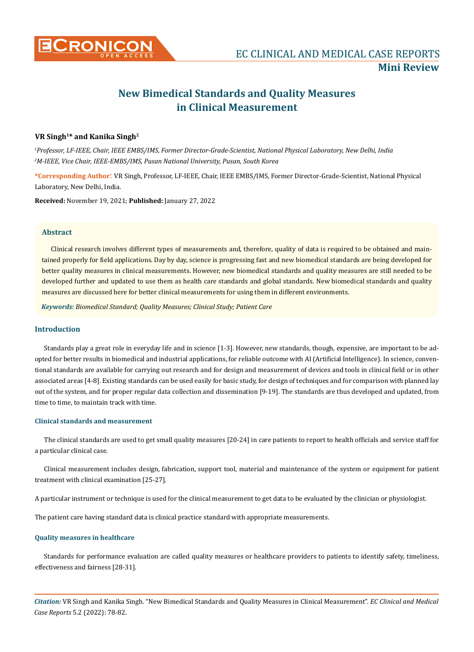

# **New Bimedical Standards and Quality Measures in Clinical Measurement**

# **VR Singh1\* and Kanika Singh2**

*1 Professor, LF-IEEE, Chair, IEEE EMBS/IMS, Former Director-Grade-Scientist, National Physical Laboratory, New Delhi, India 2 M-IEEE, Vice Chair, IEEE-EMBS/IMS, Pusan National University, Pusan, South Korea*

**\*Corresponding Author**: VR Singh, Professor, LF-IEEE, Chair, IEEE EMBS/IMS, Former Director-Grade-Scientist, National Physical Laboratory, New Delhi, India.

**Received:** November 19, 2021; **Published:** January 27, 2022

## **Abstract**

Clinical research involves different types of measurements and, therefore, quality of data is required to be obtained and maintained properly for field applications. Day by day, science is progressing fast and new biomedical standards are being developed for better quality measures in clinical measurements. However, new biomedical standards and quality measures are still needed to be developed further and updated to use them as health care standards and global standards. New biomedical standards and quality measures are discussed here for better clinical measurements for using them in different environments.

*Keywords: Biomedical Standard; Quality Measures; Clinical Study; Patient Care*

# **Introduction**

Standards play a great role in everyday life and in science [1-3]. However, new standards, though, expensive, are important to be adopted for better results in biomedical and industrial applications, for reliable outcome with AI (Artificial Intelligence). In science, conventional standards are available for carrying out research and for design and measurement of devices and tools in clinical field or in other associated areas [4-8]. Existing standards can be used easily for basic study, for design of techniques and for comparison with planned lay out of the system, and for proper regular data collection and dissemination [9-19]. The standards are thus developed and updated, from time to time, to maintain track with time.

## **Clinical standards and measurement**

The clinical standards are used to get small quality measures [20-24] in care patients to report to health officials and service staff for a particular clinical case.

Clinical measurement includes design, fabrication, support tool, material and maintenance of the system or equipment for patient treatment with clinical examination [25-27].

A particular instrument or technique is used for the clinical measurement to get data to be evaluated by the clinician or physiologist.

The patient care having standard data is clinical practice standard with appropriate measurements.

## **Quality measures in healthcare**

Standards for performance evaluation are called quality measures or healthcare providers to patients to identify safety, timeliness, effectiveness and fairness [28-31].

*Citation:* VR Singh and Kanika Singh. "New Bimedical Standards and Quality Measures in Clinical Measurement". *EC Clinical and Medical Case Reports* 5.2 (2022): 78-82.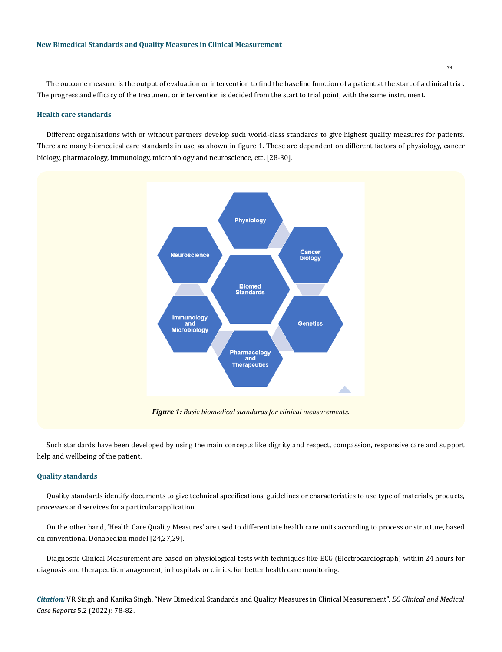The outcome measure is the output of evaluation or intervention to find the baseline function of a patient at the start of a clinical trial. The progress and efficacy of the treatment or intervention is decided from the start to trial point, with the same instrument.

#### **Health care standards**

Different organisations with or without partners develop such world-class standards to give highest quality measures for patients. There are many biomedical care standards in use, as shown in figure 1. These are dependent on different factors of physiology, cancer biology, pharmacology, immunology, microbiology and neuroscience, etc. [28-30].



Such standards have been developed by using the main concepts like dignity and respect, compassion, responsive care and support help and wellbeing of the patient.

## **Quality standards**

Quality standards identify documents to give technical specifications, guidelines or characteristics to use type of materials, products, processes and services for a particular application.

On the other hand, 'Health Care Quality Measures' are used to differentiate health care units according to process or structure, based on conventional Donabedian model [24,27,29].

Diagnostic Clinical Measurement are based on physiological tests with techniques like ECG (Electrocardiograph) within 24 hours for diagnosis and therapeutic management, in hospitals or clinics, for better health care monitoring.

*Citation:* VR Singh and Kanika Singh. "New Bimedical Standards and Quality Measures in Clinical Measurement". *EC Clinical and Medical Case Reports* 5.2 (2022): 78-82.

79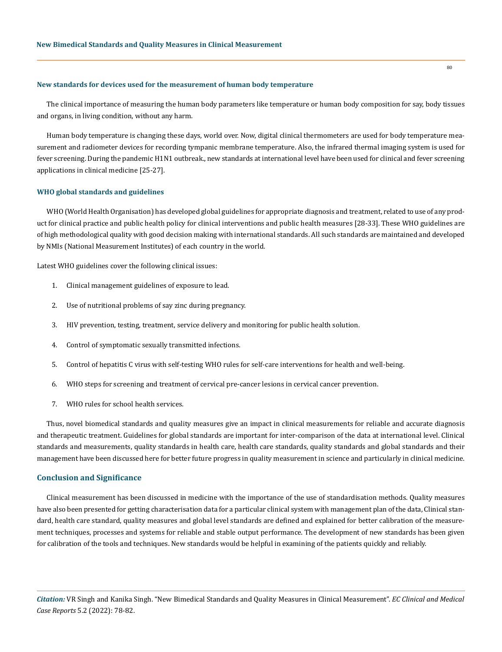#### **New standards for devices used for the measurement of human body temperature**

The clinical importance of measuring the human body parameters like temperature or human body composition for say, body tissues and organs, in living condition, without any harm.

Human body temperature is changing these days, world over. Now, digital clinical thermometers are used for body temperature measurement and radiometer devices for recording tympanic membrane temperature. Also, the infrared thermal imaging system is used for fever screening. During the pandemic H1N1 outbreak., new standards at international level have been used for clinical and fever screening applications in clinical medicine [25-27].

## **WHO global standards and guidelines**

WHO (World Health Organisation) has developed global guidelines for appropriate diagnosis and treatment, related to use of any product for clinical practice and public health policy for clinical interventions and public health measures [28-33]. These WHO guidelines are of high methodological quality with good decision making with international standards. All such standards are maintained and developed by NMIs (National Measurement Institutes) of each country in the world.

Latest WHO guidelines cover the following clinical issues:

- 1. Clinical management guidelines of exposure to lead.
- 2. Use of nutritional problems of say zinc during pregnancy.
- 3. HIV prevention, testing, treatment, service delivery and monitoring for public health solution.
- 4. Control of symptomatic sexually transmitted infections.
- 5. Control of hepatitis C virus with self-testing WHO rules for self-care interventions for health and well-being.
- 6. WHO steps for screening and treatment of cervical pre-cancer lesions in cervical cancer prevention.
- 7. WHO rules for school health services.

Thus, novel biomedical standards and quality measures give an impact in clinical measurements for reliable and accurate diagnosis and therapeutic treatment. Guidelines for global standards are important for inter-comparison of the data at international level. Clinical standards and measurements, quality standards in health care, health care standards, quality standards and global standards and their management have been discussed here for better future progress in quality measurement in science and particularly in clinical medicine.

#### **Conclusion and Significance**

Clinical measurement has been discussed in medicine with the importance of the use of standardisation methods. Quality measures have also been presented for getting characterisation data for a particular clinical system with management plan of the data, Clinical standard, health care standard, quality measures and global level standards are defined and explained for better calibration of the measurement techniques, processes and systems for reliable and stable output performance. The development of new standards has been given for calibration of the tools and techniques. New standards would be helpful in examining of the patients quickly and reliably.

*Citation:* VR Singh and Kanika Singh. "New Bimedical Standards and Quality Measures in Clinical Measurement". *EC Clinical and Medical Case Reports* 5.2 (2022): 78-82.

80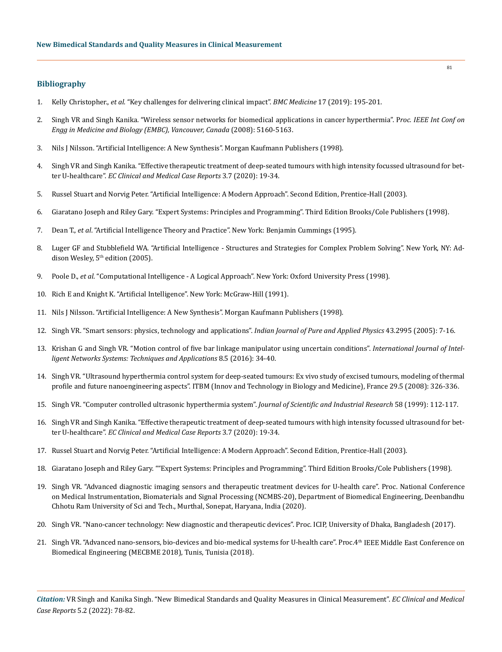## **Bibliography**

- 1. Kelly Christopher., *et al*[. "Key challenges for delivering clinical impact".](https://bmcmedicine.biomedcentral.com/articles/10.1186/s12916-019-1426-2) *BMC Medicine* 17 (2019): 195-201.
- 2. [Singh VR and Singh Kanika. "Wireless sensor networks for biomedical applications in cancer hyperthermia". P](https://pubmed.ncbi.nlm.nih.gov/19163879/)*roc. IEEE Int Conf on [Engg in Medicine and Biology \(EMBC\), Vancouver, Canada](https://pubmed.ncbi.nlm.nih.gov/19163879/)* (2008): 5160-5163.
- 3. Nils J Nilsson. "Artificial Intelligence: A New Synthesis". Morgan Kaufmann Publishers (1998).
- 4. Singh VR and Singh Kanika. "Effective therapeutic treatment of deep-seated tumours with high intensity focussed ultrasound for better U-healthcare". *EC Clinical and Medical Case Reports* 3.7 (2020): 19-34.
- 5. [Russel Stuart and Norvig Peter. "Artificial Intelligence: A Modern Approach". Second Edition, Prentice-Hall \(2003\).](http://aima.cs.berkeley.edu/)
- 6. Giaratano Joseph and Riley Gary. "Expert Systems: Principles and Programming". Third Edition Brooks/Cole Publishers (1998).
- 7. Dean T., *et al*. "Artificial Intelligence Theory and Practice". New York: Benjamin Cummings (1995).
- 8. Luger GF and Stubblefield WA. "Artificial Intelligence Structures and Strategies for Complex Problem Solving". New York, NY: Addison Wesley,  $5<sup>th</sup>$  edition (2005).
- 9. Poole D., *et al*. "Computational Intelligence A Logical Approach". New York: Oxford University Press (1998).
- 10. Rich E and Knight K. "Artificial Intelligence". New York: McGraw-Hill (1991).
- 11. Nils J Nilsson. "Artificial Intelligence: A New Synthesis". Morgan Kaufmann Publishers (1998).
- 12. [Singh VR. "Smart sensors: physics, technology and applications".](https://www.researchgate.net/publication/228366667_Smart_sensors_Physics_technology_and_applications) *Indian Journal of Pure and Applied Physics* 43.2995 (2005): 7-16.
- 13. [Krishan G and Singh VR. "Motion control of five bar linkage manipulator using uncertain conditions".](https://www.researchgate.net/publication/301644239_Motion_Control_of_Five_Bar_Linkage_Manipulator_Using_Conventional_Controllers_Under_Uncertain_Conditions) *International Journal of Intel[ligent Networks Systems: Techniques and Applications](https://www.researchgate.net/publication/301644239_Motion_Control_of_Five_Bar_Linkage_Manipulator_Using_Conventional_Controllers_Under_Uncertain_Conditions)* 8.5 (2016): 34-40.
- 14. [Singh VR. "Ultrasound hyperthermia control system for deep-seated tumours: Ex vivo study of excised tumours, modeling of thermal](https://www.researchgate.net/publication/246279980_Ultrasound_hyperthermia_control_system_for_deep-seated_tumours_Ex_vivo_study_of_excised_tumours_modeling_of_thermal_profile_and_future_nanoengineering_aspects)  [profile and future nanoengineering aspects". ITBM \(Innov and Technology in Biology and Medicine\), France 29.5 \(2008\): 326-336.](https://www.researchgate.net/publication/246279980_Ultrasound_hyperthermia_control_system_for_deep-seated_tumours_Ex_vivo_study_of_excised_tumours_modeling_of_thermal_profile_and_future_nanoengineering_aspects)
- 15. [Singh VR. "Computer controlled ultrasonic hyperthermia system".](http://nopr.niscair.res.in/handle/123456789/17800) *Journal of Scientific and Industrial Research* 58 (1999): 112-117.
- 16. [Singh VR and Singh Kanika. "Effective therapeutic treatment of deep-seated tumours with high intensity focussed ultrasound for bet](https://www.researchgate.net/publication/343710729_VR_Singh_and_Kanika_Singh_Effective_Therapeutic_Treatment_of_Deep-Seated_Brain_Tumours_with_High_Intensity_Focused_Ultrasound_HIFU_for_Better_U-Healthcare_EC_Clinical_and_Medical_Case_Reports_37_2020_)ter U-healthcare". *[EC Clinical and Medical Case Reports](https://www.researchgate.net/publication/343710729_VR_Singh_and_Kanika_Singh_Effective_Therapeutic_Treatment_of_Deep-Seated_Brain_Tumours_with_High_Intensity_Focused_Ultrasound_HIFU_for_Better_U-Healthcare_EC_Clinical_and_Medical_Case_Reports_37_2020_)* 3.7 (2020): 19-34.
- 17. Russel Stuart and Norvig Peter. "Artificial Intelligence: A Modern Approach". Second Edition, Prentice-Hall (2003).
- 18. Giaratano Joseph and Riley Gary. ""Expert Systems: Principles and Programming". Third Edition Brooks/Cole Publishers (1998).
- 19. Singh VR. "Advanced diagnostic imaging sensors and therapeutic treatment devices for U-health care". Proc. National Conference on Medical Instrumentation, Biomaterials and Signal Processing (NCMBS-20), Department of Biomedical Engineering, Deenbandhu Chhotu Ram University of Sci and Tech., Murthal, Sonepat, Haryana, India (2020).
- 20. Singh VR. "Nano-cancer technology: New diagnostic and therapeutic devices". Proc. ICIP, University of Dhaka, Bangladesh (2017).
- 21. Singh VR. "Advanced nano-sensors, bio-devices and bio-medical systems for U-health care". Proc.4<sup>th</sup> IEEE Middle East Conference on Biomedical Engineering (MECBME 2018), Tunis, Tunisia (2018).

*Citation:* VR Singh and Kanika Singh. "New Bimedical Standards and Quality Measures in Clinical Measurement". *EC Clinical and Medical Case Reports* 5.2 (2022): 78-82.